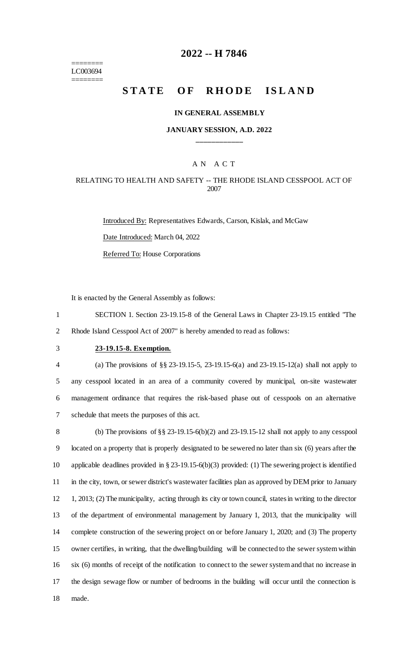======== LC003694 ========

### **2022 -- H 7846**

# **STATE OF RHODE ISLAND**

#### **IN GENERAL ASSEMBLY**

### **JANUARY SESSION, A.D. 2022 \_\_\_\_\_\_\_\_\_\_\_\_**

### A N A C T

### RELATING TO HEALTH AND SAFETY -- THE RHODE ISLAND CESSPOOL ACT OF 2007

Introduced By: Representatives Edwards, Carson, Kislak, and McGaw Date Introduced: March 04, 2022 Referred To: House Corporations

It is enacted by the General Assembly as follows:

1 SECTION 1. Section 23-19.15-8 of the General Laws in Chapter 23-19.15 entitled "The 2 Rhode Island Cesspool Act of 2007" is hereby amended to read as follows:

# 3 **23-19.15-8. Exemption.**

 (a) The provisions of §§ 23-19.15-5, 23-19.15-6(a) and 23-19.15-12(a) shall not apply to any cesspool located in an area of a community covered by municipal, on-site wastewater management ordinance that requires the risk-based phase out of cesspools on an alternative schedule that meets the purposes of this act.

 (b) The provisions of §§ 23-19.15-6(b)(2) and 23-19.15-12 shall not apply to any cesspool located on a property that is properly designated to be sewered no later than six (6) years after the applicable deadlines provided in § 23-19.15-6(b)(3) provided: (1) The sewering project is identified 11 in the city, town, or sewer district's wastewater facilities plan as approved by DEM prior to January 1, 2013; (2) The municipality, acting through its city or town council, states in writing to the director of the department of environmental management by January 1, 2013, that the municipality will complete construction of the sewering project on or before January 1, 2020; and (3) The property owner certifies, in writing, that the dwelling/building will be connected to the sewer system within six (6) months of receipt of the notification to connect to the sewer system and that no increase in the design sewage flow or number of bedrooms in the building will occur until the connection is 18 made.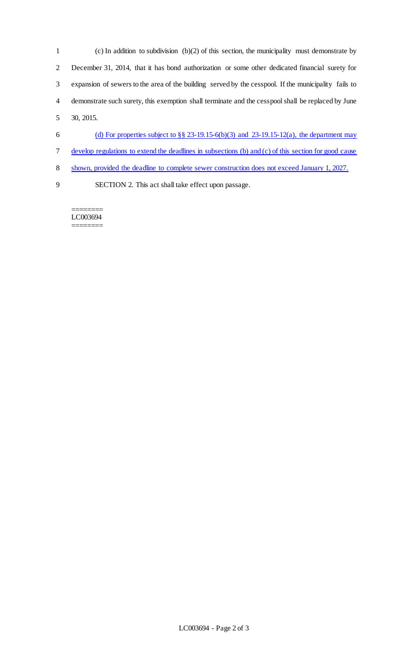- (c) In addition to subdivision (b)(2) of this section, the municipality must demonstrate by December 31, 2014, that it has bond authorization or some other dedicated financial surety for expansion of sewers to the area of the building served by the cesspool. If the municipality fails to demonstrate such surety, this exemption shall terminate and the cesspool shall be replaced by June 30, 2015. 6 (d) For properties subject to  $\S § 23-19.15-6(b)(3)$  and  $23-19.15-12(a)$ , the department may develop regulations to extend the deadlines in subsections (b) and (c) of this section for good cause shown, provided the deadline to complete sewer construction does not exceed January 1, 2027.
- SECTION 2. This act shall take effect upon passage.

======== LC003694 ========